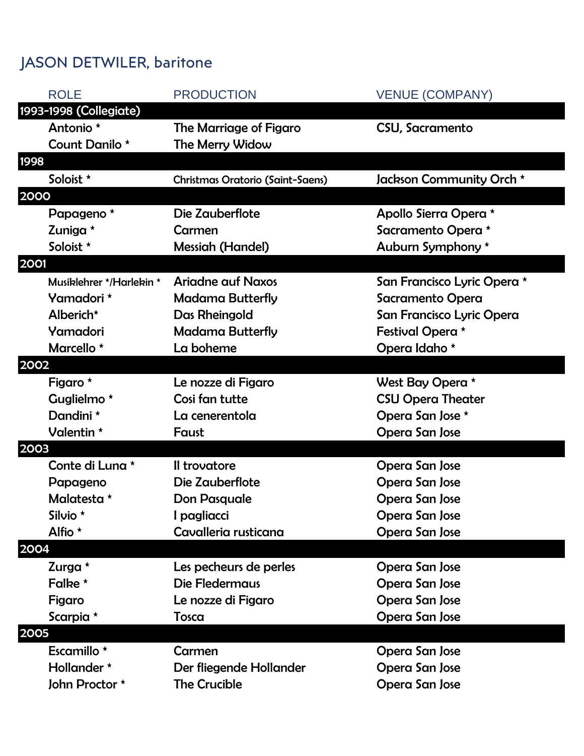## JASON DETWILER, baritone

| <b>ROLE</b>              | <b>PRODUCTION</b>                | <b>VENUE (COMPANY)</b>      |
|--------------------------|----------------------------------|-----------------------------|
| 1993-1998 (Collegiate)   |                                  |                             |
| Antonio *                | The Marriage of Figaro           | CSU, Sacramento             |
| Count Danilo *           | The Merry Widow                  |                             |
| <b>1998</b>              |                                  |                             |
| Soloist *                | Christmas Oratorio (Saint-Saens) | Jackson Community Orch *    |
| 2000                     |                                  |                             |
| Papageno <sup>*</sup>    | Die Zauberflote                  | Apollo Sierra Opera *       |
| Zuniga *                 | Carmen                           | Sacramento Opera *          |
| Soloist *                | <b>Messiah (Handel)</b>          | Auburn Symphony *           |
| 2001                     |                                  |                             |
| Musiklehrer */Harlekin * | <b>Ariadne auf Naxos</b>         | San Francisco Lyric Opera * |
| Yamadori *               | <b>Madama Butterfly</b>          | Sacramento Opera            |
| Alberich*                | Das Rheingold                    | San Francisco Lyric Opera   |
| Yamadori                 | <b>Madama Butterfly</b>          | Festival Opera *            |
| Marcello *               | La boheme                        | Opera Idaho *               |
| 2002                     |                                  |                             |
| Figaro *                 | Le nozze di Figaro               | West Bay Opera *            |
| Guglielmo <sup>*</sup>   | Cosi fan tutte                   | <b>CSU Opera Theater</b>    |
| Dandini *                | La cenerentola                   | Opera San Jose *            |
| Valentin *               | Faust                            | Opera San Jose              |
| 2003                     |                                  |                             |
| Conte di Luna *          | Il trovatore                     | Opera San Jose              |
| Papageno                 | Die Zauberflote                  | Opera San Jose              |
| Malatesta *              | <b>Don Pasquale</b>              | Opera San Jose              |
| Silvio *                 | pagliacci                        | Opera San Jose              |
| Alfio *                  | Cavalleria rusticana             | Opera San Jose              |
| 2004                     |                                  |                             |
| Zurga *                  | Les pecheurs de perles           | Opera San Jose              |
| Falke *                  | Die Fledermaus                   | Opera San Jose              |
| Figaro                   | Le nozze di Figaro               | Opera San Jose              |
| Scarpia *                | Tosca                            | Opera San Jose              |
| 2005                     |                                  |                             |
| Escamillo *              | Carmen                           | Opera San Jose              |
| Hollander *              | Der fliegende Hollander          | Opera San Jose              |
| John Proctor *           | <b>The Crucible</b>              | Opera San Jose              |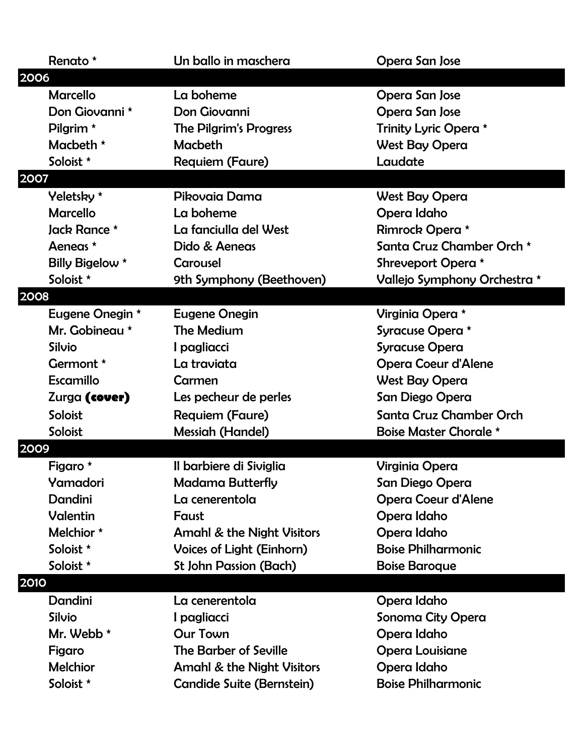| Renato *             | Un ballo in maschera                  | Opera San Jose                |
|----------------------|---------------------------------------|-------------------------------|
| 2006                 |                                       |                               |
| <b>Marcello</b>      | La boheme                             | Opera San Jose                |
| Don Giovanni *       | Don Giovanni                          | Opera San Jose                |
| Pilgrim <sup>*</sup> | <b>The Pilgrim's Progress</b>         | Trinity Lyric Opera *         |
| Macbeth $*$          | Macbeth                               | <b>West Bay Opera</b>         |
| Soloist *            | <b>Requiem (Faure)</b>                | Laudate                       |
| 2007                 |                                       |                               |
| Yeletsky *           | Pikovaia Dama                         | West Bay Opera                |
| <b>Marcello</b>      | La boheme                             | Opera Idaho                   |
| Jack Rance *         | La fanciulla del West                 | Rimrock Opera *               |
| Aeneas *             | Dido & Aeneas                         | Santa Cruz Chamber Orch *     |
| Billy Bigelow *      | Carousel                              | Shreveport Opera *            |
| Soloist *            | 9th Symphony (Beethoven)              | Vallejo Symphony Orchestra *  |
| 2008                 |                                       |                               |
| Eugene Onegin *      | <b>Eugene Onegin</b>                  | Virginia Opera *              |
| Mr. Gobineau *       | The Medium                            | Syracuse Opera *              |
| Silvio               | I pagliacci                           | <b>Syracuse Opera</b>         |
| Germont *            | La traviata                           | <b>Opera Coeur d'Alene</b>    |
| Escamillo            | Carmen                                | <b>West Bay Opera</b>         |
| Zurga (cover)        | Les pecheur de perles                 | San Diego Opera               |
| Soloist              | <b>Requiem (Faure)</b>                | Santa Cruz Chamber Orch       |
| Soloist              | <b>Messiah (Handel)</b>               | <b>Boise Master Chorale *</b> |
| 2009                 |                                       |                               |
| Figaro *             | Il barbiere di Siviglia               | <b>Virginia Opera</b>         |
| Yamadori             | <b>Madama Butterfly</b>               | San Diego Opera               |
| Dandini              | La cenerentola                        | <b>Opera Coeur d'Alene</b>    |
| Valentin             | Faust                                 | Opera Idaho                   |
| Melchior *           | <b>Amahl &amp; the Night Visitors</b> | Opera Idaho                   |
| Soloist *            | Voices of Light (Einhorn)             | <b>Boise Philharmonic</b>     |
| Soloist *            | <b>St John Passion (Bach)</b>         | <b>Boise Baroque</b>          |
| 2010                 |                                       |                               |
| Dandini              | La cenerentola                        | Opera Idaho                   |
| <b>Silvio</b>        | I pagliacci                           | Sonoma City Opera             |
| Mr. Webb *           | <b>Our Town</b>                       | Opera Idaho                   |
| Figaro               | <b>The Barber of Seville</b>          | <b>Opera Louisiane</b>        |
| <b>Melchior</b>      | <b>Amahl &amp; the Night Visitors</b> | Opera Idaho                   |
| Soloist *            | <b>Candide Suite (Bernstein)</b>      | <b>Boise Philharmonic</b>     |
|                      |                                       |                               |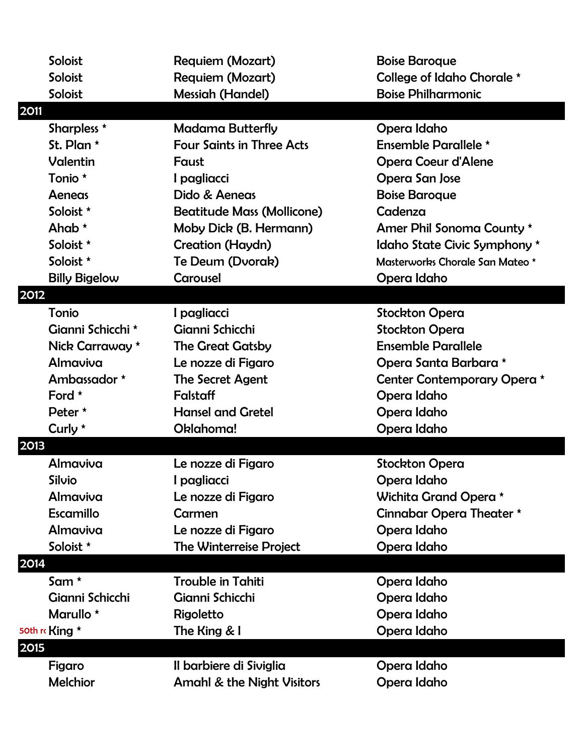|      | Soloist              | <b>Requiem (Mozart)</b>               | <b>Boise Baroque</b>            |
|------|----------------------|---------------------------------------|---------------------------------|
|      | Soloist              | Requiem (Mozart)                      | College of Idaho Chorale *      |
|      | Soloist              | <b>Messiah (Handel)</b>               | <b>Boise Philharmonic</b>       |
| 2011 |                      |                                       |                                 |
|      | Sharpless *          | <b>Madama Butterfly</b>               | Opera Idaho                     |
|      | St. Plan *           | <b>Four Saints in Three Acts</b>      | Ensemble Parallele *            |
|      | Valentin             | Faust                                 | <b>Opera Coeur d'Alene</b>      |
|      | Tonio *              | I pagliacci                           | Opera San Jose                  |
|      | Aeneas               | Dido & Aeneas                         | <b>Boise Baroque</b>            |
|      | Soloist *            | <b>Beatitude Mass (Mollicone)</b>     | Cadenza                         |
|      | Ahab $*$             | Moby Dick (B. Hermann)                | Amer Phil Sonoma County *       |
|      | Soloist *            | Creation (Haydn)                      | Idaho State Civic Symphony *    |
|      | Soloist *            | Te Deum (Dvorak)                      | Masterworks Chorale San Mateo * |
|      | <b>Billy Bigelow</b> | Carousel                              | Opera Idaho                     |
| 2012 |                      |                                       |                                 |
|      | Tonio                | I pagliacci                           | <b>Stockton Opera</b>           |
|      | Gianni Schicchi *    | Gianni Schicchi                       | <b>Stockton Opera</b>           |
|      | Nick Carraway *      | <b>The Great Gatsby</b>               | <b>Ensemble Parallele</b>       |
|      | Almaviva             | Le nozze di Figaro                    | Opera Santa Barbara *           |
|      | Ambassador *         | The Secret Agent                      | Center Contemporary Opera *     |
|      | Ford $*$             | Falstaff                              | Opera Idaho                     |
|      | Peter *              | <b>Hansel and Gretel</b>              | Opera Idaho                     |
|      | Curly *              | Oklahoma!                             | Opera Idaho                     |
| 2013 |                      |                                       |                                 |
|      | Almaviva             | Le nozze di Figaro                    | <b>Stockton Opera</b>           |
|      | Silvio               | I pagliacci                           | Opera Idaho                     |
|      | Almaviva             | Le nozze di Figaro                    | Wichita Grand Opera *           |
|      | Escamillo            | Carmen                                | Cinnabar Opera Theater *        |
|      | Almaviva             | Le nozze di Figaro                    | Opera Idaho                     |
|      | Soloist *            | <b>The Winterreise Project</b>        | Opera Idaho                     |
| 2014 |                      |                                       |                                 |
|      | Sam $*$              | <b>Trouble in Tahiti</b>              | Opera Idaho                     |
|      | Gianni Schicchi      | Gianni Schicchi                       | Opera Idaho                     |
|      | Marullo *            | Rigoletto                             | Opera Idaho                     |
|      | 50th r King *        | The King & I                          | Opera Idaho                     |
| 2015 |                      |                                       |                                 |
|      | Figaro               | Il barbiere di Siviglia               | Opera Idaho                     |
|      | <b>Melchior</b>      | <b>Amahl &amp; the Night Visitors</b> | Opera Idaho                     |
|      |                      |                                       |                                 |